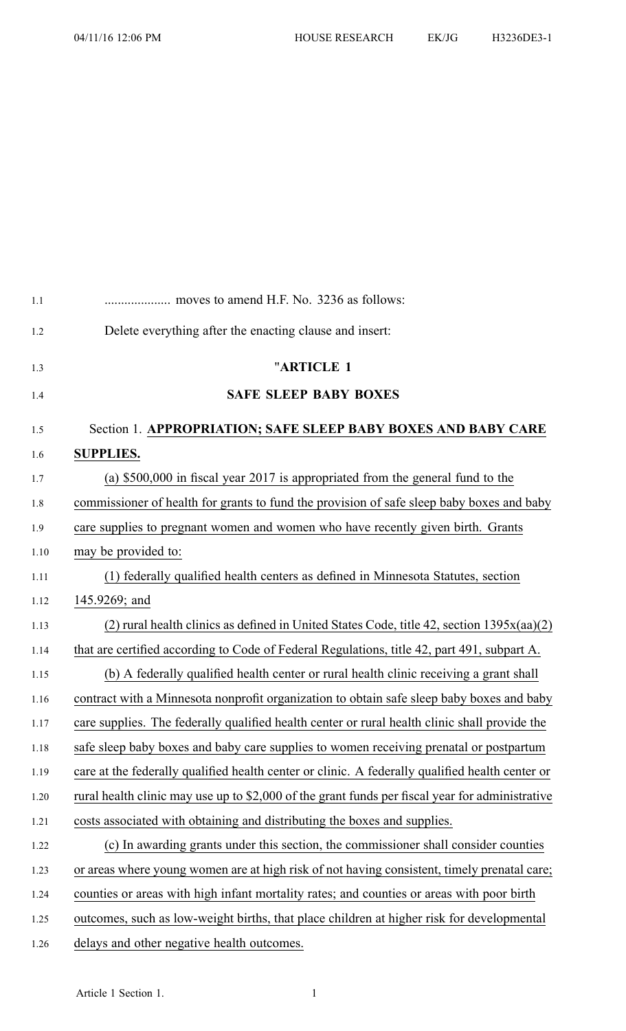| 1.1  |                                                                                                 |
|------|-------------------------------------------------------------------------------------------------|
| 1.2  | Delete everything after the enacting clause and insert:                                         |
| 1.3  | "ARTICLE 1                                                                                      |
| 1.4  | <b>SAFE SLEEP BABY BOXES</b>                                                                    |
| 1.5  | Section 1. APPROPRIATION; SAFE SLEEP BABY BOXES AND BABY CARE                                   |
| 1.6  | <b>SUPPLIES.</b>                                                                                |
| 1.7  | (a) $$500,000$ in fiscal year 2017 is appropriated from the general fund to the                 |
| 1.8  | commissioner of health for grants to fund the provision of safe sleep baby boxes and baby       |
| 1.9  | care supplies to pregnant women and women who have recently given birth. Grants                 |
| 1.10 | may be provided to:                                                                             |
| 1.11 | (1) federally qualified health centers as defined in Minnesota Statutes, section                |
| 1.12 | 145.9269; and                                                                                   |
| 1.13 | $(2)$ rural health clinics as defined in United States Code, title 42, section 1395 $x(aa)(2)$  |
| 1.14 | that are certified according to Code of Federal Regulations, title 42, part 491, subpart A.     |
| 1.15 | (b) A federally qualified health center or rural health clinic receiving a grant shall          |
| 1.16 | contract with a Minnesota nonprofit organization to obtain safe sleep baby boxes and baby       |
| 1.17 | care supplies. The federally qualified health center or rural health clinic shall provide the   |
| 1.18 | safe sleep baby boxes and baby care supplies to women receiving prenatal or postpartum          |
| 1.19 | care at the federally qualified health center or clinic. A federally qualified health center or |
| 1.20 | rural health clinic may use up to \$2,000 of the grant funds per fiscal year for administrative |
| 1.21 | costs associated with obtaining and distributing the boxes and supplies.                        |
| 1.22 | (c) In awarding grants under this section, the commissioner shall consider counties             |
| 1.23 | or areas where young women are at high risk of not having consistent, timely prenatal care;     |
| 1.24 | counties or areas with high infant mortality rates; and counties or areas with poor birth       |
| 1.25 | outcomes, such as low-weight births, that place children at higher risk for developmental       |
| 1.26 | delays and other negative health outcomes.                                                      |